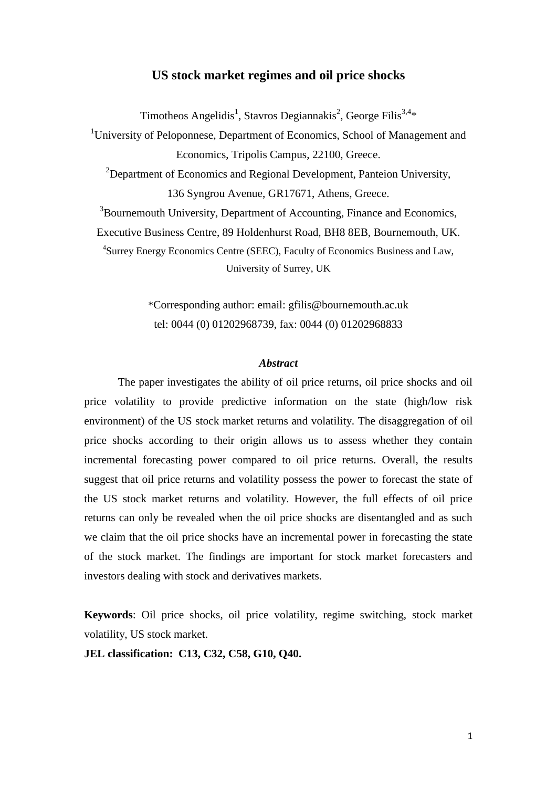# **US stock market regimes and oil price shocks**

Timotheos Angelidis<sup>1</sup>, Stavros Degiannakis<sup>2</sup>, George Filis<sup>3,4</sup>\*

<sup>1</sup>University of Peloponnese, Department of Economics, School of Management and Economics, Tripolis Campus, 22100, Greece. <sup>2</sup>Department of Economics and Regional Development, Panteion University, 136 Syngrou Avenue, GR17671, Athens, Greece.

<sup>3</sup>Bournemouth University, Department of Accounting, Finance and Economics,

Executive Business Centre, 89 Holdenhurst Road, BH8 8EB, Bournemouth, UK.

4 Surrey Energy Economics Centre (SEEC), Faculty of Economics Business and Law, University of Surrey, UK

> \*Corresponding author: email: gfilis@bournemouth.ac.uk tel: 0044 (0) 01202968739, fax: 0044 (0) 01202968833

## *Abstract*

The paper investigates the ability of oil price returns, oil price shocks and oil price volatility to provide predictive information on the state (high/low risk environment) of the US stock market returns and volatility. The disaggregation of oil price shocks according to their origin allows us to assess whether they contain incremental forecasting power compared to oil price returns. Overall, the results suggest that oil price returns and volatility possess the power to forecast the state of the US stock market returns and volatility. However, the full effects of oil price returns can only be revealed when the oil price shocks are disentangled and as such we claim that the oil price shocks have an incremental power in forecasting the state of the stock market. The findings are important for stock market forecasters and investors dealing with stock and derivatives markets.

**Keywords**: Oil price shocks, oil price volatility, regime switching, stock market volatility, US stock market.

**JEL classification: C13, C32, C58, G10, Q40.**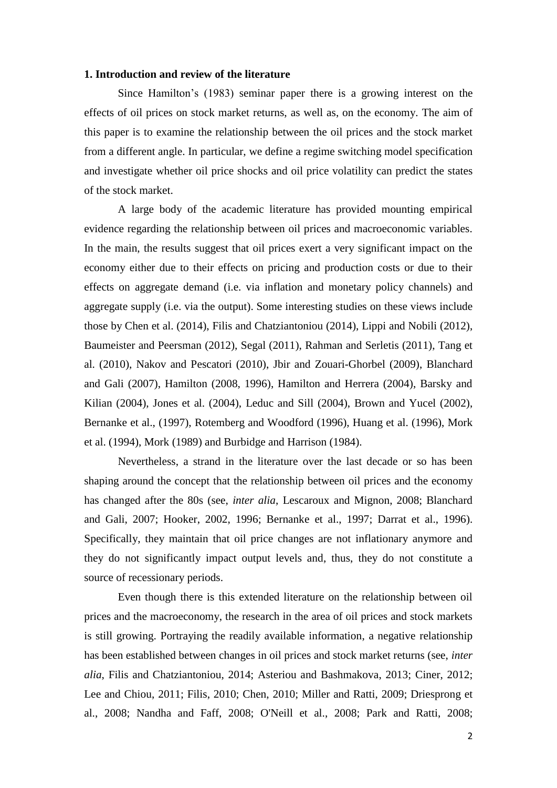#### **1. Introduction and review of the literature**

Since Hamilton's (1983) seminar paper there is a growing interest on the effects of oil prices on stock market returns, as well as, on the economy. The aim of this paper is to examine the relationship between the oil prices and the stock market from a different angle. In particular, we define a regime switching model specification and investigate whether oil price shocks and oil price volatility can predict the states of the stock market.

A large body of the academic literature has provided mounting empirical evidence regarding the relationship between oil prices and macroeconomic variables. In the main, the results suggest that oil prices exert a very significant impact on the economy either due to their effects on pricing and production costs or due to their effects on aggregate demand (i.e. via inflation and monetary policy channels) and aggregate supply (i.e. via the output). Some interesting studies on these views include those by Chen et al. (2014), Filis and Chatziantoniou (2014), Lippi and Nobili (2012), Baumeister and Peersman (2012), Segal (2011), Rahman and Serletis (2011), Tang et al. (2010), Nakov and Pescatori (2010), Jbir and Zouari-Ghorbel (2009), Blanchard and Gali (2007), Hamilton (2008, 1996), Hamilton and Herrera (2004), Barsky and Kilian (2004), Jones et al. (2004), Leduc and Sill (2004), Brown and Yucel (2002), Bernanke et al., (1997), Rotemberg and Woodford (1996), Huang et al. (1996), Mork et al. (1994), Mork (1989) and Burbidge and Harrison (1984).

Nevertheless, a strand in the literature over the last decade or so has been shaping around the concept that the relationship between oil prices and the economy has changed after the 80s (see, *inter alia*, Lescaroux and Mignon, 2008; Blanchard and Gali, 2007; Hooker, 2002, 1996; Bernanke et al., 1997; Darrat et al., 1996). Specifically, they maintain that oil price changes are not inflationary anymore and they do not significantly impact output levels and, thus, they do not constitute a source of recessionary periods.

Even though there is this extended literature on the relationship between oil prices and the macroeconomy, the research in the area of oil prices and stock markets is still growing. Portraying the readily available information, a negative relationship has been established between changes in oil prices and stock market returns (see, *inter alia*, Filis and Chatziantoniou, 2014; Asteriou and Bashmakova, 2013; Ciner, 2012; Lee and Chiou, 2011; Filis, 2010; Chen, 2010; Miller and Ratti, 2009; Driesprong et al., 2008; Nandha and Faff, 2008; O'Neill et al., 2008; Park and Ratti, 2008;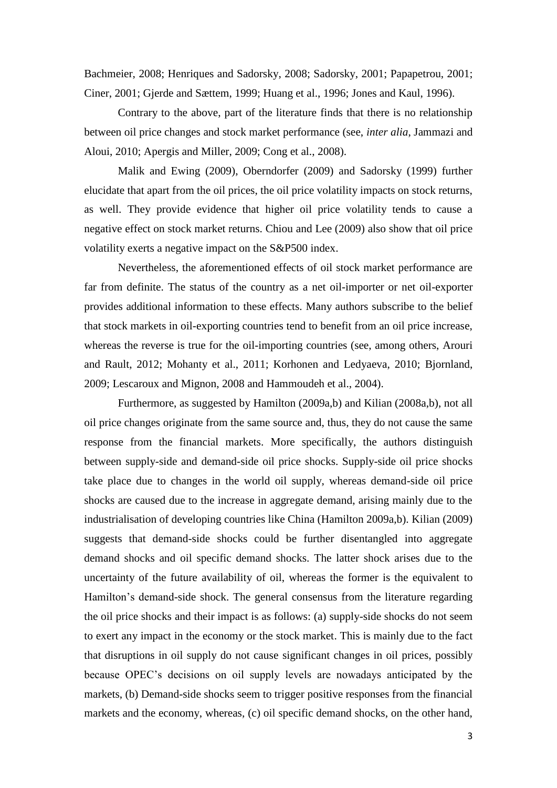Bachmeier, 2008; Henriques and Sadorsky, 2008; Sadorsky, 2001; Papapetrou, 2001; Ciner, 2001; Gjerde and Sættem, 1999; Huang et al., 1996; Jones and Kaul, 1996).

Contrary to the above, part of the literature finds that there is no relationship between oil price changes and stock market performance (see, *inter alia*, Jammazi and Aloui, 2010; Apergis and Miller, 2009; Cong et al., 2008).

Malik and Ewing (2009), Oberndorfer (2009) and Sadorsky (1999) further elucidate that apart from the oil prices, the oil price volatility impacts on stock returns, as well. They provide evidence that higher oil price volatility tends to cause a negative effect on stock market returns. Chiou and Lee (2009) also show that oil price volatility exerts a negative impact on the S&P500 index.

Nevertheless, the aforementioned effects of oil stock market performance are far from definite. The status of the country as a net oil-importer or net oil-exporter provides additional information to these effects. Many authors subscribe to the belief that stock markets in oil-exporting countries tend to benefit from an oil price increase, whereas the reverse is true for the oil-importing countries (see, among others, Arouri and Rault, 2012; Mohanty et al., 2011; Korhonen and Ledyaeva, 2010; Bjornland, 2009; Lescaroux and Mignon, 2008 and Hammoudeh et al., 2004).

Furthermore, as suggested by Hamilton (2009a,b) and Kilian (2008a,b), not all oil price changes originate from the same source and, thus, they do not cause the same response from the financial markets. More specifically, the authors distinguish between supply-side and demand-side oil price shocks. Supply-side oil price shocks take place due to changes in the world oil supply, whereas demand-side oil price shocks are caused due to the increase in aggregate demand, arising mainly due to the industrialisation of developing countries like China (Hamilton 2009a,b). Kilian (2009) suggests that demand-side shocks could be further disentangled into aggregate demand shocks and oil specific demand shocks. The latter shock arises due to the uncertainty of the future availability of oil, whereas the former is the equivalent to Hamilton's demand-side shock. The general consensus from the literature regarding the oil price shocks and their impact is as follows: (a) supply-side shocks do not seem to exert any impact in the economy or the stock market. This is mainly due to the fact that disruptions in oil supply do not cause significant changes in oil prices, possibly because OPEC's decisions on oil supply levels are nowadays anticipated by the markets, (b) Demand-side shocks seem to trigger positive responses from the financial markets and the economy, whereas, (c) oil specific demand shocks, on the other hand,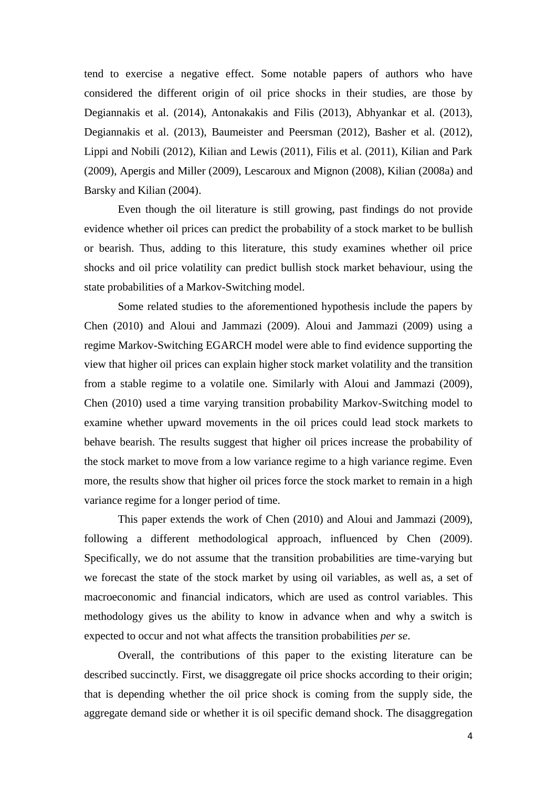tend to exercise a negative effect. Some notable papers of authors who have considered the different origin of oil price shocks in their studies, are those by Degiannakis et al. (2014), Antonakakis and Filis (2013), Abhyankar et al. (2013), Degiannakis et al. (2013), Baumeister and Peersman (2012), Basher et al. (2012), Lippi and Nobili (2012), Kilian and Lewis (2011), Filis et al. (2011), Kilian and Park (2009), Apergis and Miller (2009), Lescaroux and Mignon (2008), Kilian (2008a) and Barsky and Kilian (2004).

Even though the oil literature is still growing, past findings do not provide evidence whether oil prices can predict the probability of a stock market to be bullish or bearish. Thus, adding to this literature, this study examines whether oil price shocks and oil price volatility can predict bullish stock market behaviour, using the state probabilities of a Markov-Switching model.

Some related studies to the aforementioned hypothesis include the papers by Chen (2010) and Aloui and Jammazi (2009). Aloui and Jammazi (2009) using a regime Markov-Switching EGARCH model were able to find evidence supporting the view that higher oil prices can explain higher stock market volatility and the transition from a stable regime to a volatile one. Similarly with Aloui and Jammazi (2009), Chen (2010) used a time varying transition probability Markov-Switching model to examine whether upward movements in the oil prices could lead stock markets to behave bearish. The results suggest that higher oil prices increase the probability of the stock market to move from a low variance regime to a high variance regime. Even more, the results show that higher oil prices force the stock market to remain in a high variance regime for a longer period of time.

This paper extends the work of Chen (2010) and Aloui and Jammazi (2009), following a different methodological approach, influenced by Chen (2009). Specifically, we do not assume that the transition probabilities are time-varying but we forecast the state of the stock market by using oil variables, as well as, a set of macroeconomic and financial indicators, which are used as control variables. This methodology gives us the ability to know in advance when and why a switch is expected to occur and not what affects the transition probabilities *per se*.

Overall, the contributions of this paper to the existing literature can be described succinctly. First, we disaggregate oil price shocks according to their origin; that is depending whether the oil price shock is coming from the supply side, the aggregate demand side or whether it is oil specific demand shock. The disaggregation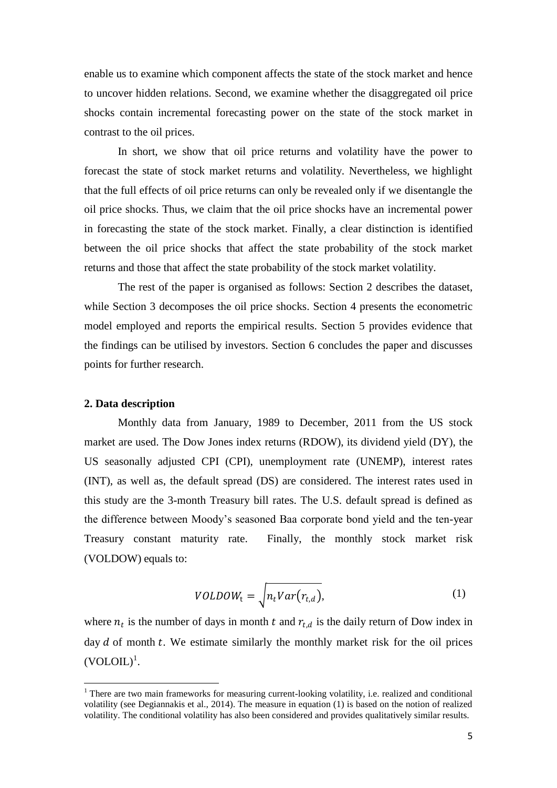enable us to examine which component affects the state of the stock market and hence to uncover hidden relations. Second, we examine whether the disaggregated oil price shocks contain incremental forecasting power on the state of the stock market in contrast to the oil prices.

In short, we show that oil price returns and volatility have the power to forecast the state of stock market returns and volatility. Nevertheless, we highlight that the full effects of oil price returns can only be revealed only if we disentangle the oil price shocks. Thus, we claim that the oil price shocks have an incremental power in forecasting the state of the stock market. Finally, a clear distinction is identified between the oil price shocks that affect the state probability of the stock market returns and those that affect the state probability of the stock market volatility.

The rest of the paper is organised as follows: Section 2 describes the dataset, while Section 3 decomposes the oil price shocks. Section 4 presents the econometric model employed and reports the empirical results. Section 5 provides evidence that the findings can be utilised by investors. Section 6 concludes the paper and discusses points for further research.

## **2. Data description**

1

Monthly data from January, 1989 to December, 2011 from the US stock market are used. The Dow Jones index returns (RDOW), its dividend yield (DY), the US seasonally adjusted CPI (CPI), unemployment rate (UNEMP), interest rates (INT), as well as, the default spread (DS) are considered. The interest rates used in this study are the 3-month Treasury bill rates. The U.S. default spread is defined as the difference between Moody's seasoned Baa corporate bond yield and the ten-year Treasury constant maturity rate. Finally, the monthly stock market risk (VOLDOW) equals to:

$$
VOLDOWt = \sqrt{n_t Var(r_{t,d})},
$$
\n(1)

where  $n_t$  is the number of days in month t and  $r_{t,d}$  is the daily return of Dow index in day  $d$  of month  $t$ . We estimate similarly the monthly market risk for the oil prices  $(VOLOIL)^1$ .

<sup>&</sup>lt;sup>1</sup> There are two main frameworks for measuring current-looking volatility, i.e. realized and conditional volatility (see Degiannakis et al., 2014). The measure in equation (1) is based on the notion of realized volatility. The conditional volatility has also been considered and provides qualitatively similar results.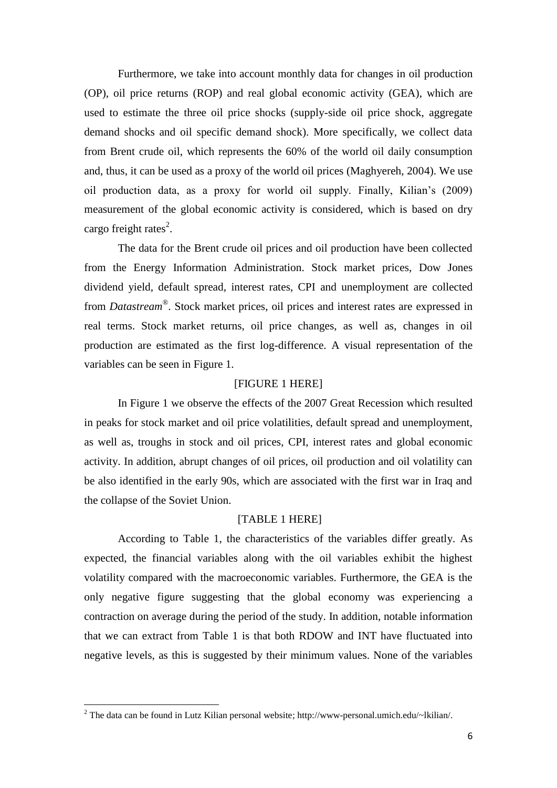Furthermore, we take into account monthly data for changes in oil production (OP), oil price returns (ROP) and real global economic activity (GEA), which are used to estimate the three oil price shocks (supply-side oil price shock, aggregate demand shocks and oil specific demand shock). More specifically, we collect data from Brent crude oil, which represents the 60% of the world oil daily consumption and, thus, it can be used as a proxy of the world oil prices (Maghyereh, 2004). We use oil production data, as a proxy for world oil supply. Finally, Kilian's (2009) measurement of the global economic activity is considered, which is based on dry cargo freight rates $^{2}$ .

The data for the Brent crude oil prices and oil production have been collected from the Energy Information Administration. Stock market prices, Dow Jones dividend yield, default spread, interest rates, CPI and unemployment are collected from *Datastream*® . Stock market prices, oil prices and interest rates are expressed in real terms. Stock market returns, oil price changes, as well as, changes in oil production are estimated as the first log-difference. A visual representation of the variables can be seen in Figure 1.

## [FIGURE 1 HERE]

In Figure 1 we observe the effects of the 2007 Great Recession which resulted in peaks for stock market and oil price volatilities, default spread and unemployment, as well as, troughs in stock and oil prices, CPI, interest rates and global economic activity. In addition, abrupt changes of oil prices, oil production and oil volatility can be also identified in the early 90s, which are associated with the first war in Iraq and the collapse of the Soviet Union.

## [TABLE 1 HERE]

According to Table 1, the characteristics of the variables differ greatly. As expected, the financial variables along with the oil variables exhibit the highest volatility compared with the macroeconomic variables. Furthermore, the GEA is the only negative figure suggesting that the global economy was experiencing a contraction on average during the period of the study. In addition, notable information that we can extract from Table 1 is that both RDOW and INT have fluctuated into negative levels, as this is suggested by their minimum values. None of the variables

**.** 

<sup>2</sup> The data can be found in Lutz Kilian personal website; http://www-personal.umich.edu/~lkilian/.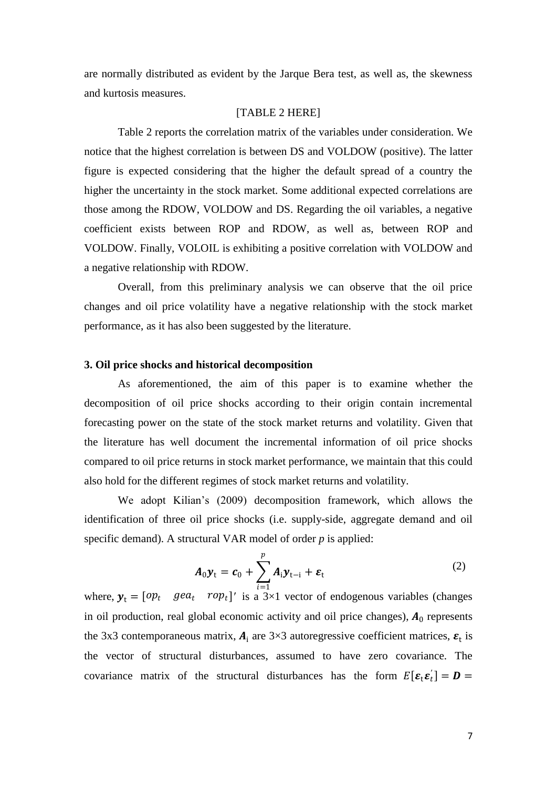are normally distributed as evident by the Jarque Bera test, as well as, the skewness and kurtosis measures.

## [TABLE 2 HERE]

Table 2 reports the correlation matrix of the variables under consideration. We notice that the highest correlation is between DS and VOLDOW (positive). The latter figure is expected considering that the higher the default spread of a country the higher the uncertainty in the stock market. Some additional expected correlations are those among the RDOW, VOLDOW and DS. Regarding the oil variables, a negative coefficient exists between ROP and RDOW, as well as, between ROP and VOLDOW. Finally, VOLOIL is exhibiting a positive correlation with VOLDOW and a negative relationship with RDOW.

Overall, from this preliminary analysis we can observe that the oil price changes and oil price volatility have a negative relationship with the stock market performance, as it has also been suggested by the literature.

## **3. Oil price shocks and historical decomposition**

As aforementioned, the aim of this paper is to examine whether the decomposition of oil price shocks according to their origin contain incremental forecasting power on the state of the stock market returns and volatility. Given that the literature has well document the incremental information of oil price shocks compared to oil price returns in stock market performance, we maintain that this could also hold for the different regimes of stock market returns and volatility.

We adopt Kilian's (2009) decomposition framework, which allows the identification of three oil price shocks (i.e. supply-side, aggregate demand and oil specific demand). A structural VAR model of order *p* is applied:

$$
A_0 y_t = c_0 + \sum_{i=1}^p A_i y_{t-i} + \varepsilon_t
$$
 (2)

where,  $y_t = [op_t \, gea_t \, rop_t]'$  is a 3×1 vector of endogenous variables (changes in oil production, real global economic activity and oil price changes),  $A_0$  represents the 3x3 contemporaneous matrix,  $A_i$  are 3×3 autoregressive coefficient matrices,  $\varepsilon_t$  is the vector of structural disturbances, assumed to have zero covariance. The covariance matrix of the structural disturbances has the form  $E[\epsilon_t \epsilon_t] = D =$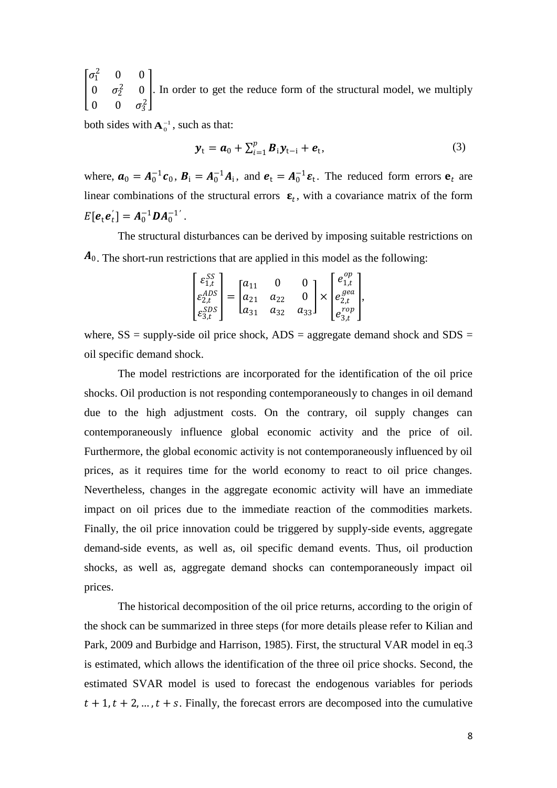I  $\sigma_1^2$  0 0 0  $\sigma_2^2$  0 0 0  $\sigma_3^2$ . In order to get the reduce form of the structural model, we multiply

both sides with  $A_0^{-1}$ , such as that:

$$
\mathbf{y}_{t} = \boldsymbol{a}_{0} + \sum_{i=1}^{p} \boldsymbol{B}_{i} \mathbf{y}_{t-i} + \boldsymbol{e}_{t},
$$
\n(3)

where,  $\mathbf{a}_0 = A_0^{-1} \mathbf{c}_0$ ,  $\mathbf{B}_1 = A_0^{-1} A_1$ , and  $\mathbf{e}_t = A_0^{-1} \mathbf{\varepsilon}_t$ . The reduced form errors  $\mathbf{e}_t$  are linear combinations of the structural errors  $\epsilon_t$ , with a covariance matrix of the form  $E[e_t e_t'] = A_0^{-1} D A_0^{-1'}$ .

The structural disturbances can be derived by imposing suitable restrictions on  $A_0$ . The short-run restrictions that are applied in this model as the following:

$$
\begin{bmatrix} \varepsilon_{1,t}^{SS} \\ \varepsilon_{2,t}^{ADS} \\ \varepsilon_{3,t}^{SDS} \end{bmatrix} = \begin{bmatrix} a_{11} & 0 & 0 \\ a_{21} & a_{22} & 0 \\ a_{31} & a_{32} & a_{33} \end{bmatrix} \times \begin{bmatrix} e_{1,t}^{op} \\ e_{2,t}^{gea} \\ e_{3,t}^{rop} \end{bmatrix},
$$

where,  $SS =$  supply-side oil price shock,  $ADS =$  aggregate demand shock and  $SDS =$ oil specific demand shock.

The model restrictions are incorporated for the identification of the oil price shocks. Oil production is not responding contemporaneously to changes in oil demand due to the high adjustment costs. On the contrary, oil supply changes can contemporaneously influence global economic activity and the price of oil. Furthermore, the global economic activity is not contemporaneously influenced by oil prices, as it requires time for the world economy to react to oil price changes. Nevertheless, changes in the aggregate economic activity will have an immediate impact on oil prices due to the immediate reaction of the commodities markets. Finally, the oil price innovation could be triggered by supply-side events, aggregate demand-side events, as well as, oil specific demand events. Thus, oil production shocks, as well as, aggregate demand shocks can contemporaneously impact oil prices.

The historical decomposition of the oil price returns, according to the origin of the shock can be summarized in three steps (for more details please refer to Kilian and Park, 2009 and Burbidge and Harrison, 1985). First, the structural VAR model in eq.3 is estimated, which allows the identification of the three oil price shocks. Second, the estimated SVAR model is used to forecast the endogenous variables for periods  $t + 1$ ,  $t + 2$ , ...,  $t + s$ . Finally, the forecast errors are decomposed into the cumulative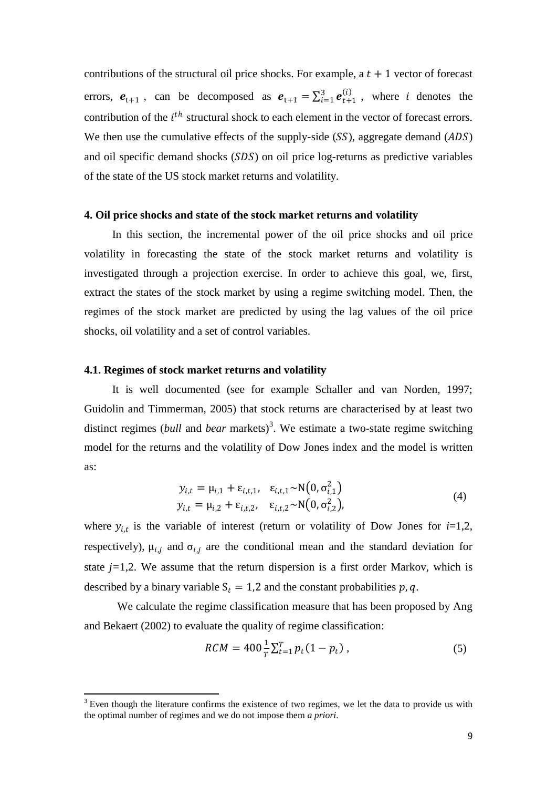contributions of the structural oil price shocks. For example, a  $t + 1$  vector of forecast errors,  $e_{t+1}$ , can be decomposed as  $e_{t+1} = \sum_{i=1}^{3} e_{t+1}^{(i)}$ , where i denotes the contribution of the  $i^{th}$  structural shock to each element in the vector of forecast errors. We then use the cumulative effects of the supply-side  $(SS)$ , aggregate demand  $(ADS)$ and oil specific demand shocks  $(SDS)$  on oil price log-returns as predictive variables of the state of the US stock market returns and volatility.

## **4. Oil price shocks and state of the stock market returns and volatility**

In this section, the incremental power of the oil price shocks and oil price volatility in forecasting the state of the stock market returns and volatility is investigated through a projection exercise. In order to achieve this goal, we, first, extract the states of the stock market by using a regime switching model. Then, the regimes of the stock market are predicted by using the lag values of the oil price shocks, oil volatility and a set of control variables.

## **4.1. Regimes of stock market returns and volatility**

**.** 

It is well documented (see for example Schaller and van Norden, 1997; Guidolin and Timmerman, 2005) that stock returns are characterised by at least two distinct regimes (*bull* and *bear* markets)<sup>3</sup>. We estimate a two-state regime switching model for the returns and the volatility of Dow Jones index and the model is written as:

$$
y_{i,t} = \mu_{i,1} + \varepsilon_{i,t,1}, \quad \varepsilon_{i,t,1} \sim N(0, \sigma_{i,1}^2)
$$
  
\n
$$
y_{i,t} = \mu_{i,2} + \varepsilon_{i,t,2}, \quad \varepsilon_{i,t,2} \sim N(0, \sigma_{i,2}^2),
$$
\n(4)

where  $y_{i,t}$  is the variable of interest (return or volatility of Dow Jones for  $i=1,2$ , respectively),  $\mu_{i,j}$  and  $\sigma_{i,j}$  are the conditional mean and the standard deviation for state  $j=1,2$ . We assume that the return dispersion is a first order Markov, which is described by a binary variable  $S_t = 1,2$  and the constant probabilities p, q.

We calculate the regime classification measure that has been proposed by Ang and Bekaert (2002) to evaluate the quality of regime classification:

$$
RCM = 400 \frac{1}{T} \sum_{t=1}^{T} p_t (1 - p_t), \qquad (5)
$$

 $3$  Even though the literature confirms the existence of two regimes, we let the data to provide us with the optimal number of regimes and we do not impose them *a priori*.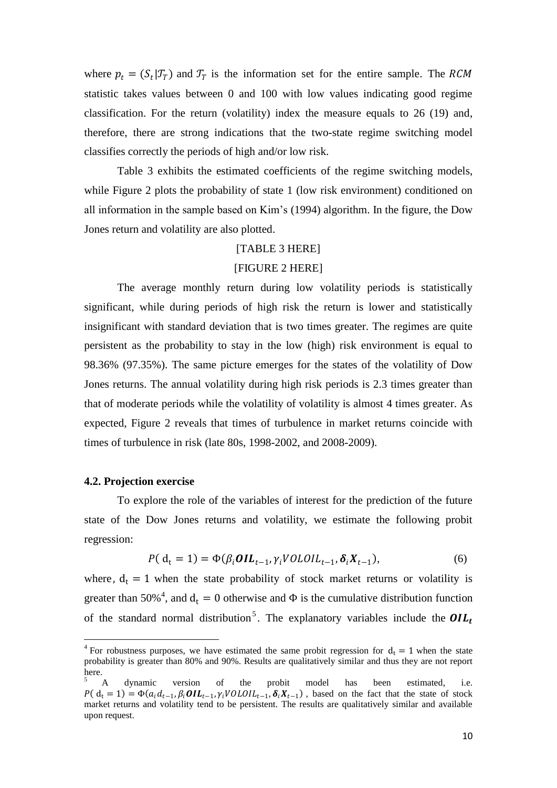where  $p_t = (S_t | \mathcal{T}_T)$  and  $\mathcal{T}_T$  is the information set for the entire sample. The RCM statistic takes values between 0 and 100 with low values indicating good regime classification. For the return (volatility) index the measure equals to 26 (19) and, therefore, there are strong indications that the two-state regime switching model classifies correctly the periods of high and/or low risk.

Table 3 exhibits the estimated coefficients of the regime switching models, while Figure 2 plots the probability of state 1 (low risk environment) conditioned on all information in the sample based on Kim's (1994) algorithm. In the figure, the Dow Jones return and volatility are also plotted.

## [TABLE 3 HERE]

## [FIGURE 2 HERE]

The average monthly return during low volatility periods is statistically significant, while during periods of high risk the return is lower and statistically insignificant with standard deviation that is two times greater. The regimes are quite persistent as the probability to stay in the low (high) risk environment is equal to 98.36% (97.35%). The same picture emerges for the states of the volatility of Dow Jones returns. The annual volatility during high risk periods is 2.3 times greater than that of moderate periods while the volatility of volatility is almost 4 times greater. As expected, Figure 2 reveals that times of turbulence in market returns coincide with times of turbulence in risk (late 80s, 1998-2002, and 2008-2009).

#### **4.2. Projection exercise**

1

To explore the role of the variables of interest for the prediction of the future state of the Dow Jones returns and volatility, we estimate the following probit regression:

$$
P(\mathbf{d}_t = 1) = \Phi(\beta_i \mathbf{OIL}_{t-1}, \gamma_i \mathbf{VOLOIL}_{t-1}, \delta_i \mathbf{X}_{t-1}),
$$
\n<sup>(6)</sup>

where,  $d_t = 1$  when the state probability of stock market returns or volatility is greater than 50%<sup>4</sup>, and  $d_t = 0$  otherwise and  $\Phi$  is the cumulative distribution function of the standard normal distribution<sup>5</sup>. The explanatory variables include the  $OIL_t$ 

<sup>&</sup>lt;sup>4</sup> For robustness purposes, we have estimated the same probit regression for  $d_t = 1$  when the state probability is greater than 80% and 90%. Results are qualitatively similar and thus they are not report here.

<sup>&</sup>lt;sup>5</sup> A dynamic version of the probit model has been estimated, i.e.  $P(d_t = 1) = \Phi(a_i d_{t-1}, \beta_i \textbf{OIL}_{t-1}, \gamma_i \textbf{VOL} \textbf{OIL}_{t-1}, \delta_i X_{t-1})$ , based on the fact that the state of stock market returns and volatility tend to be persistent. The results are qualitatively similar and available upon request.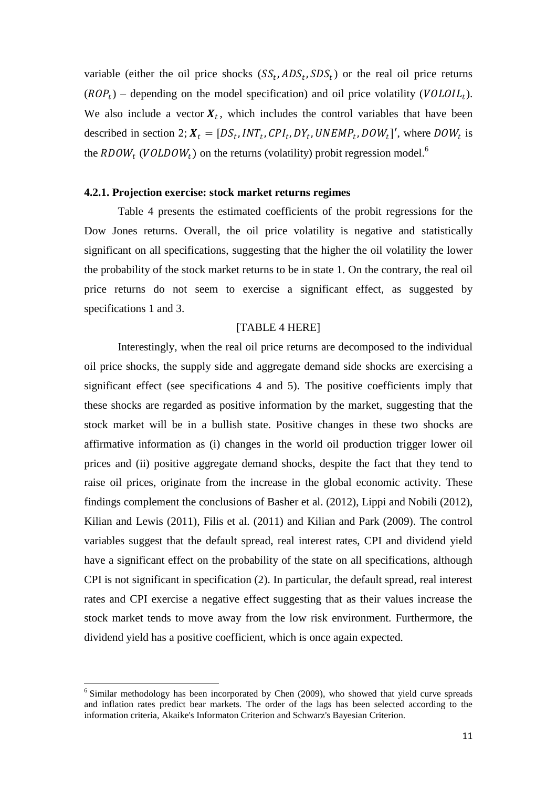variable (either the oil price shocks  $(SS_t, ADS_t, SDS_t)$  or the real oil price returns  $(ROP_t)$  – depending on the model specification) and oil price volatility ( $VOLOIL_t$ ). We also include a vector  $X_t$ , which includes the control variables that have been described in section 2;  $X_t = [DS_t, INT_t, CPI_t, DY_t, UNEMP_t, DOM_t]$ , where  $DOW_t$  is the  $\mathit{RDOW}_t$  (VOLDOW<sub>t</sub>) on the returns (volatility) probit regression model.<sup>6</sup>

## **4.2.1. Projection exercise: stock market returns regimes**

Table 4 presents the estimated coefficients of the probit regressions for the Dow Jones returns. Overall, the oil price volatility is negative and statistically significant on all specifications, suggesting that the higher the oil volatility the lower the probability of the stock market returns to be in state 1. On the contrary, the real oil price returns do not seem to exercise a significant effect, as suggested by specifications 1 and 3.

## [TABLE 4 HERE]

Interestingly, when the real oil price returns are decomposed to the individual oil price shocks, the supply side and aggregate demand side shocks are exercising a significant effect (see specifications 4 and 5). The positive coefficients imply that these shocks are regarded as positive information by the market, suggesting that the stock market will be in a bullish state. Positive changes in these two shocks are affirmative information as (i) changes in the world oil production trigger lower oil prices and (ii) positive aggregate demand shocks, despite the fact that they tend to raise oil prices, originate from the increase in the global economic activity. These findings complement the conclusions of Basher et al. (2012), Lippi and Nobili (2012), Kilian and Lewis (2011), Filis et al. (2011) and Kilian and Park (2009). The control variables suggest that the default spread, real interest rates, CPI and dividend yield have a significant effect on the probability of the state on all specifications, although CPI is not significant in specification (2). In particular, the default spread, real interest rates and CPI exercise a negative effect suggesting that as their values increase the stock market tends to move away from the low risk environment. Furthermore, the dividend yield has a positive coefficient, which is once again expected.

1

<sup>&</sup>lt;sup>6</sup> Similar methodology has been incorporated by Chen (2009), who showed that yield curve spreads and inflation rates predict bear markets. The order of the lags has been selected according to the information criteria, Akaike's Informaton Criterion and Schwarz's Bayesian Criterion.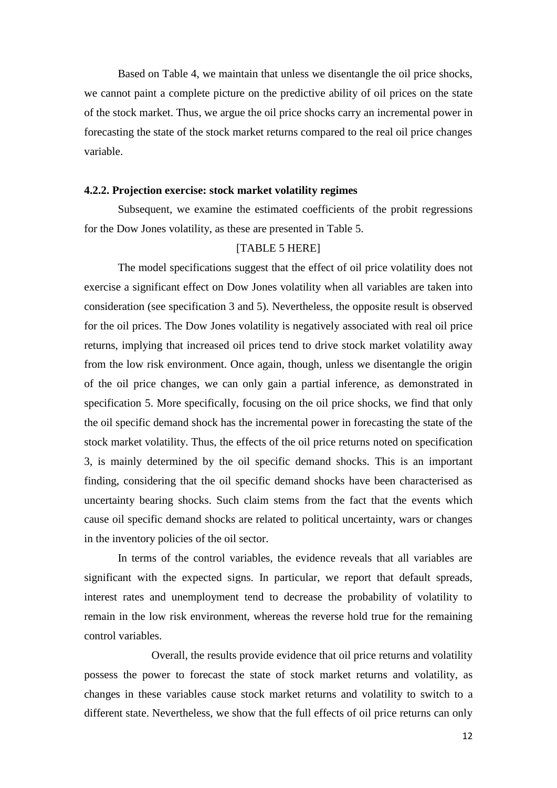Based on Table 4, we maintain that unless we disentangle the oil price shocks, we cannot paint a complete picture on the predictive ability of oil prices on the state of the stock market. Thus, we argue the oil price shocks carry an incremental power in forecasting the state of the stock market returns compared to the real oil price changes variable.

## **4.2.2. Projection exercise: stock market volatility regimes**

Subsequent, we examine the estimated coefficients of the probit regressions for the Dow Jones volatility, as these are presented in Table 5.

# [TABLE 5 HERE]

The model specifications suggest that the effect of oil price volatility does not exercise a significant effect on Dow Jones volatility when all variables are taken into consideration (see specification 3 and 5). Nevertheless, the opposite result is observed for the oil prices. The Dow Jones volatility is negatively associated with real oil price returns, implying that increased oil prices tend to drive stock market volatility away from the low risk environment. Once again, though, unless we disentangle the origin of the oil price changes, we can only gain a partial inference, as demonstrated in specification 5. More specifically, focusing on the oil price shocks, we find that only the oil specific demand shock has the incremental power in forecasting the state of the stock market volatility. Thus, the effects of the oil price returns noted on specification 3, is mainly determined by the oil specific demand shocks. This is an important finding, considering that the oil specific demand shocks have been characterised as uncertainty bearing shocks. Such claim stems from the fact that the events which cause oil specific demand shocks are related to political uncertainty, wars or changes in the inventory policies of the oil sector.

In terms of the control variables, the evidence reveals that all variables are significant with the expected signs. In particular, we report that default spreads, interest rates and unemployment tend to decrease the probability of volatility to remain in the low risk environment, whereas the reverse hold true for the remaining control variables.

Overall, the results provide evidence that oil price returns and volatility possess the power to forecast the state of stock market returns and volatility, as changes in these variables cause stock market returns and volatility to switch to a different state. Nevertheless, we show that the full effects of oil price returns can only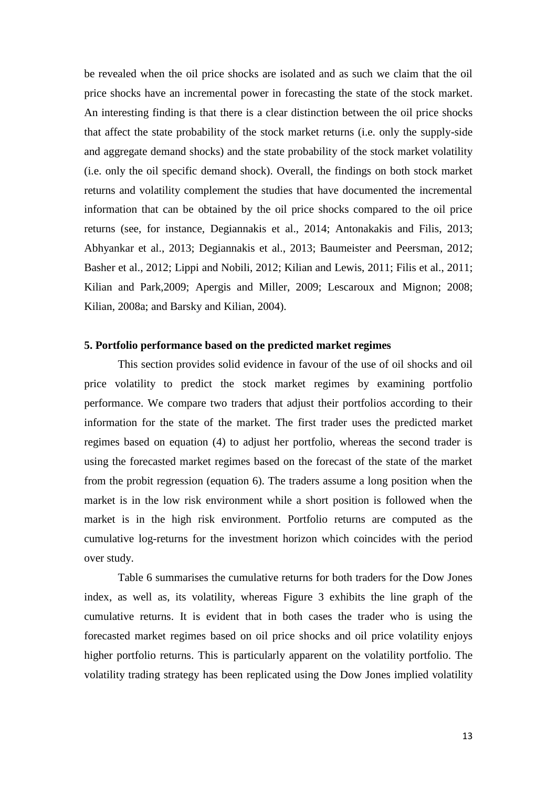be revealed when the oil price shocks are isolated and as such we claim that the oil price shocks have an incremental power in forecasting the state of the stock market. An interesting finding is that there is a clear distinction between the oil price shocks that affect the state probability of the stock market returns (i.e. only the supply-side and aggregate demand shocks) and the state probability of the stock market volatility (i.e. only the oil specific demand shock). Overall, the findings on both stock market returns and volatility complement the studies that have documented the incremental information that can be obtained by the oil price shocks compared to the oil price returns (see, for instance, Degiannakis et al., 2014; Antonakakis and Filis, 2013; Abhyankar et al., 2013; Degiannakis et al., 2013; Baumeister and Peersman, 2012; Basher et al., 2012; Lippi and Nobili, 2012; Kilian and Lewis, 2011; Filis et al., 2011; Kilian and Park,2009; Apergis and Miller, 2009; Lescaroux and Mignon; 2008; Kilian, 2008a; and Barsky and Kilian, 2004).

## **5. Portfolio performance based on the predicted market regimes**

This section provides solid evidence in favour of the use of oil shocks and oil price volatility to predict the stock market regimes by examining portfolio performance. We compare two traders that adjust their portfolios according to their information for the state of the market. The first trader uses the predicted market regimes based on equation (4) to adjust her portfolio, whereas the second trader is using the forecasted market regimes based on the forecast of the state of the market from the probit regression (equation 6). The traders assume a long position when the market is in the low risk environment while a short position is followed when the market is in the high risk environment. Portfolio returns are computed as the cumulative log-returns for the investment horizon which coincides with the period over study.

Table 6 summarises the cumulative returns for both traders for the Dow Jones index, as well as, its volatility, whereas Figure 3 exhibits the line graph of the cumulative returns. It is evident that in both cases the trader who is using the forecasted market regimes based on oil price shocks and oil price volatility enjoys higher portfolio returns. This is particularly apparent on the volatility portfolio. The volatility trading strategy has been replicated using the Dow Jones implied volatility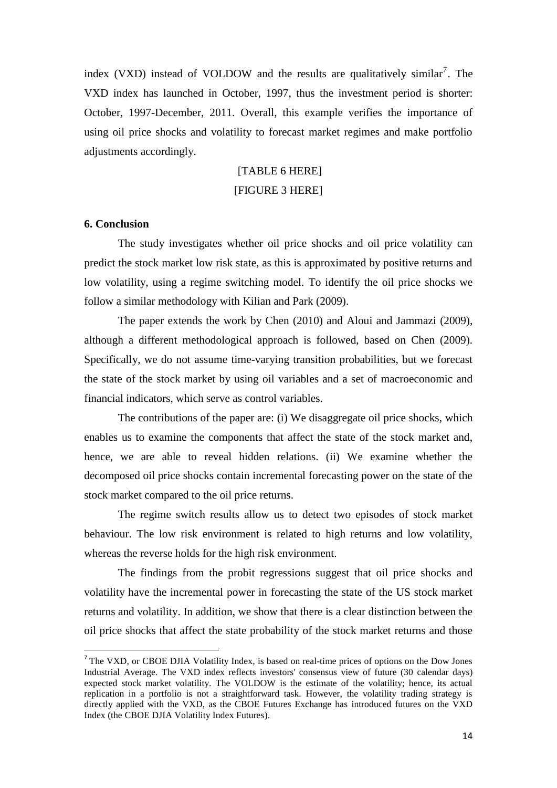index (VXD) instead of VOLDOW and the results are qualitatively similar<sup>7</sup>. The VXD index has launched in October, 1997, thus the investment period is shorter: October, 1997-December, 2011. Overall, this example verifies the importance of using oil price shocks and volatility to forecast market regimes and make portfolio adjustments accordingly.

# [TABLE 6 HERE]

# [FIGURE 3 HERE]

## **6. Conclusion**

1

The study investigates whether oil price shocks and oil price volatility can predict the stock market low risk state, as this is approximated by positive returns and low volatility, using a regime switching model. To identify the oil price shocks we follow a similar methodology with Kilian and Park (2009).

The paper extends the work by Chen (2010) and Aloui and Jammazi (2009), although a different methodological approach is followed, based on Chen (2009). Specifically, we do not assume time-varying transition probabilities, but we forecast the state of the stock market by using oil variables and a set of macroeconomic and financial indicators, which serve as control variables.

The contributions of the paper are: (i) We disaggregate oil price shocks, which enables us to examine the components that affect the state of the stock market and, hence, we are able to reveal hidden relations. (ii) We examine whether the decomposed oil price shocks contain incremental forecasting power on the state of the stock market compared to the oil price returns.

The regime switch results allow us to detect two episodes of stock market behaviour. The low risk environment is related to high returns and low volatility, whereas the reverse holds for the high risk environment.

The findings from the probit regressions suggest that oil price shocks and volatility have the incremental power in forecasting the state of the US stock market returns and volatility. In addition, we show that there is a clear distinction between the oil price shocks that affect the state probability of the stock market returns and those

<sup>&</sup>lt;sup>7</sup> The VXD, or CBOE DJIA Volatility Index, is based on real-time prices of options on the Dow Jones Industrial Average. The VXD index reflects investors' consensus view of future (30 calendar days) expected stock market volatility. The VOLDOW is the estimate of the volatility; hence, its actual replication in a portfolio is not a straightforward task. However, the volatility trading strategy is directly applied with the VXD, as the CBOE Futures Exchange has introduced futures on the VXD Index (the CBOE DJIA Volatility Index Futures).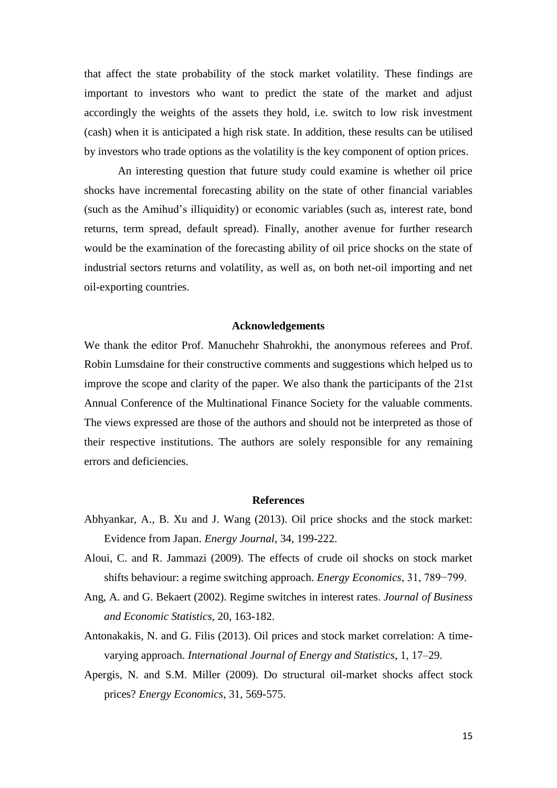that affect the state probability of the stock market volatility. These findings are important to investors who want to predict the state of the market and adjust accordingly the weights of the assets they hold, i.e. switch to low risk investment (cash) when it is anticipated a high risk state. In addition, these results can be utilised by investors who trade options as the volatility is the key component of option prices.

An interesting question that future study could examine is whether oil price shocks have incremental forecasting ability on the state of other financial variables (such as the Amihud's illiquidity) or economic variables (such as, interest rate, bond returns, term spread, default spread). Finally, another avenue for further research would be the examination of the forecasting ability of oil price shocks on the state of industrial sectors returns and volatility, as well as, on both net-oil importing and net oil-exporting countries.

## **Acknowledgements**

We thank the editor Prof. Manuchehr Shahrokhi, the anonymous referees and Prof. Robin Lumsdaine for their constructive comments and suggestions which helped us to improve the scope and clarity of the paper. We also thank the participants of the 21st Annual Conference of the Multinational Finance Society for the valuable comments. The views expressed are those of the authors and should not be interpreted as those of their respective institutions. The authors are solely responsible for any remaining errors and deficiencies.

#### **References**

- Abhyankar, A., B. Xu and J. Wang (2013). Oil price shocks and the stock market: Evidence from Japan. *Energy Journal*, 34, 199-222.
- Aloui, C. and R. Jammazi (2009). The effects of crude oil shocks on stock market shifts behaviour: a regime switching approach. *Energy Economics*, 31, 789−799.
- Ang, A. and G. Bekaert (2002). Regime switches in interest rates. *Journal of Business and Economic Statistics*, 20, 163-182.
- Antonakakis, N. and G. Filis (2013). Oil prices and stock market correlation: A timevarying approach. *International Journal of Energy and Statistics*, 1, 17–29.
- Apergis, N. and S.M. Miller (2009). Do structural oil-market shocks affect stock prices? *Energy Economics*, 31, 569-575.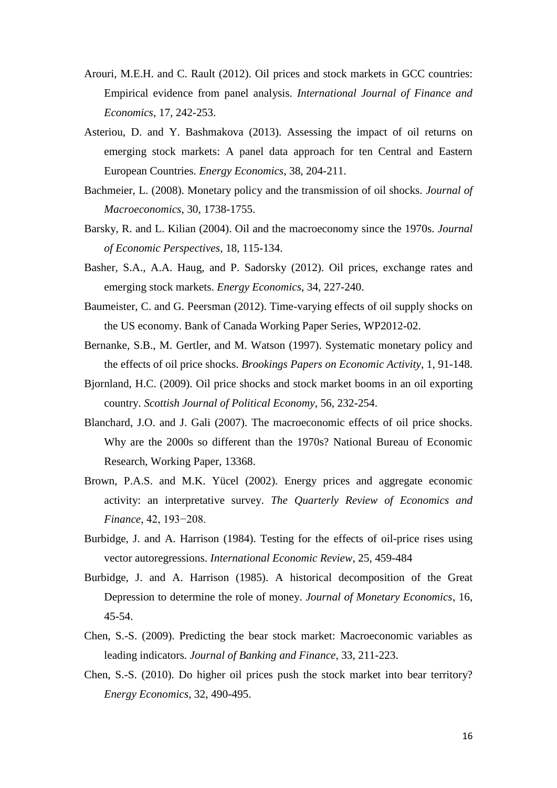- Arouri, M.E.H. and C. Rault (2012). Oil prices and stock markets in GCC countries: Empirical evidence from panel analysis. *International Journal of Finance and Economics*, 17, 242-253.
- Asteriou, D. and Y. Bashmakova (2013). Assessing the impact of oil returns on emerging stock markets: A panel data approach for ten Central and Eastern European Countries. *Energy Economics*, 38, 204-211.
- Bachmeier, L. (2008). Monetary policy and the transmission of oil shocks. *Journal of Macroeconomics*, 30, 1738-1755.
- Barsky, R. and L. Kilian (2004). Oil and the macroeconomy since the 1970s. *Journal of Economic Perspectives*, 18, 115-134.
- Basher, S.A., A.A. Haug, and P. Sadorsky (2012). Oil prices, exchange rates and emerging stock markets. *Energy Economics*, 34, 227-240.
- Baumeister, C. and G. Peersman (2012). Time-varying effects of oil supply shocks on the US economy. Bank of Canada Working Paper Series, WP2012-02.
- Bernanke, S.B., M. Gertler, and M. Watson (1997). Systematic monetary policy and the effects of oil price shocks. *Brookings Papers on Economic Activity*, 1, 91-148.
- Bjornland, H.C. (2009). Oil price shocks and stock market booms in an oil exporting country. *Scottish Journal of Political Economy*, 56, 232-254.
- Blanchard, J.O. and J. Gali (2007). The macroeconomic effects of oil price shocks. Why are the 2000s so different than the 1970s? National Bureau of Economic Research, Working Paper, 13368.
- Brown, P.A.S. and M.K. Yücel (2002). Energy prices and aggregate economic activity: an interpretative survey. *The Quarterly Review of Economics and Finance*, 42, 193−208.
- Burbidge, J. and A. Harrison (1984). Testing for the effects of oil-price rises using vector autoregressions. *International Economic Review*, 25, 459-484
- Burbidge, J. and A. Harrison (1985). A historical decomposition of the Great Depression to determine the role of money. *Journal of Monetary Economics*, 16, 45-54.
- Chen, S.-S. (2009). Predicting the bear stock market: Macroeconomic variables as leading indicators. *Journal of Banking and Finance*, 33, 211-223.
- Chen, S.-S. (2010). Do higher oil prices push the stock market into bear territory? *Energy Economics*, 32, 490-495.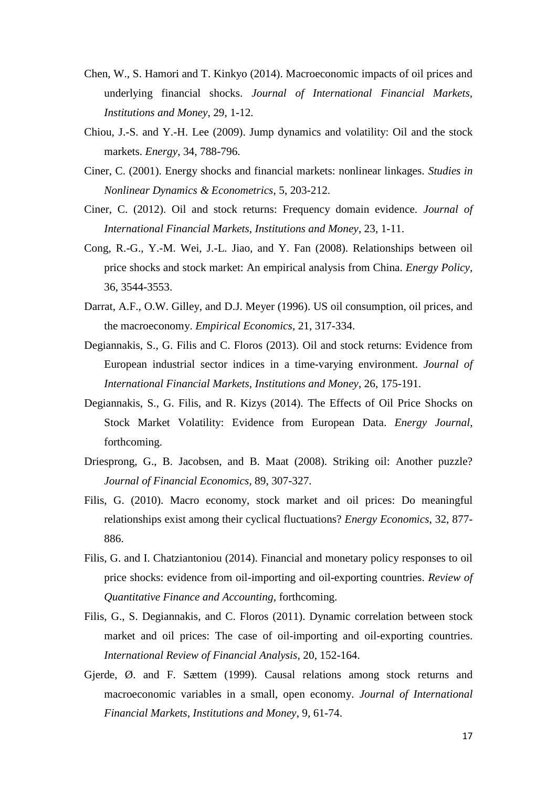- Chen, W., S. Hamori and T. Kinkyo (2014). Macroeconomic impacts of oil prices and underlying financial shocks. *Journal of International Financial Markets, Institutions and Money*, 29, 1-12.
- Chiou, J.-S. and Y.-H. Lee (2009). Jump dynamics and volatility: Oil and the stock markets. *Energy*, 34, 788-796.
- Ciner, C. (2001). Energy shocks and financial markets: nonlinear linkages. *Studies in Nonlinear Dynamics & Econometrics*, 5, 203-212.
- Ciner, C. (2012). Oil and stock returns: Frequency domain evidence*. Journal of International Financial Markets, Institutions and Money*, 23, 1-11.
- Cong, R.-G., Y.-M. Wei, J.-L. Jiao, and Y. Fan (2008). Relationships between oil price shocks and stock market: An empirical analysis from China. *Energy Policy*, 36, 3544-3553.
- Darrat, A.F., O.W. Gilley, and D.J. Meyer (1996). US oil consumption, oil prices, and the macroeconomy. *Empirical Economics*, 21, 317-334.
- Degiannakis, S., G. Filis and C. Floros (2013). Oil and stock returns: Evidence from European industrial sector indices in a time-varying environment. *Journal of International Financial Markets, Institutions and Money*, 26, 175-191.
- Degiannakis, S., G. Filis, and R. Kizys (2014). The Effects of Oil Price Shocks on Stock Market Volatility: Evidence from European Data. *Energy Journal*, forthcoming.
- Driesprong, G., B. Jacobsen, and B. Maat (2008). Striking oil: Another puzzle? *Journal of Financial Economics*, 89, 307-327.
- Filis, G. (2010). Macro economy, stock market and oil prices: Do meaningful relationships exist among their cyclical fluctuations? *Energy Economics*, 32, 877- 886.
- Filis, G. and I. Chatziantoniou (2014). Financial and monetary policy responses to oil price shocks: evidence from oil-importing and oil-exporting countries. *Review of Quantitative Finance and Accounting*, forthcoming.
- Filis, G., S. Degiannakis, and C. Floros (2011). Dynamic correlation between stock market and oil prices: The case of oil-importing and oil-exporting countries. *International Review of Financial Analysis*, 20, 152-164.
- Gjerde, Ø. and F. Sættem (1999). Causal relations among stock returns and macroeconomic variables in a small, open economy. *Journal of International Financial Markets, Institutions and Money*, 9, 61-74.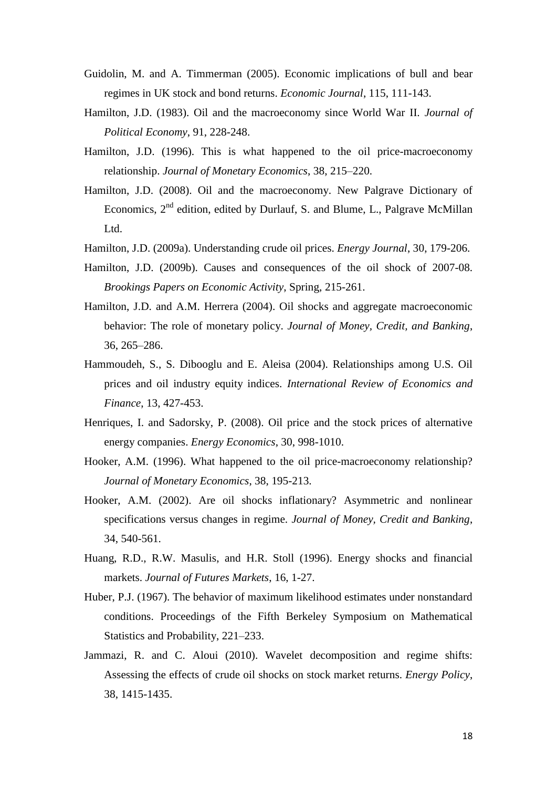- Guidolin, M. and A. Timmerman (2005). Economic implications of bull and bear regimes in UK stock and bond returns. *Economic Journal*, 115, 111-143.
- Hamilton, J.D. (1983). Oil and the macroeconomy since World War II. *Journal of Political Economy*, 91, 228-248.
- Hamilton, J.D. (1996). This is what happened to the oil price-macroeconomy relationship. *Journal of Monetary Economics*, 38, 215–220.
- Hamilton, J.D. (2008). Oil and the macroeconomy. New Palgrave Dictionary of Economics,  $2<sup>nd</sup>$  edition, edited by Durlauf, S. and Blume, L., Palgrave McMillan Ltd.
- Hamilton, J.D. (2009a). Understanding crude oil prices. *Energy Journal*, 30, 179-206.
- Hamilton, J.D. (2009b). Causes and consequences of the oil shock of 2007-08. *Brookings Papers on Economic Activity*, Spring, 215-261.
- Hamilton, J.D. and A.M. Herrera (2004). Oil shocks and aggregate macroeconomic behavior: The role of monetary policy. *Journal of Money, Credit, and Banking*, 36, 265–286.
- Hammoudeh, S., S. Dibooglu and E. Aleisa (2004). Relationships among U.S. Oil prices and oil industry equity indices. *International Review of Economics and Finance*, 13, 427-453.
- Henriques, I. and Sadorsky, P. (2008). Oil price and the stock prices of alternative energy companies. *Energy Economics*, 30, 998-1010.
- Hooker, A.M. (1996). What happened to the oil price-macroeconomy relationship? *Journal of Monetary Economics*, 38, 195-213.
- Hooker, A.M. (2002). Are oil shocks inflationary? Asymmetric and nonlinear specifications versus changes in regime. *Journal of Money, Credit and Banking*, 34, 540-561.
- Huang, R.D., R.W. Masulis, and H.R. Stoll (1996). Energy shocks and financial markets. *Journal of Futures Markets*, 16, 1-27.
- Huber, P.J. (1967). The behavior of maximum likelihood estimates under nonstandard conditions. Proceedings of the Fifth Berkeley Symposium on Mathematical Statistics and Probability, 221–233.
- Jammazi, R. and C. Aloui (2010). Wavelet decomposition and regime shifts: Assessing the effects of crude oil shocks on stock market returns. *Energy Policy*, 38, 1415-1435.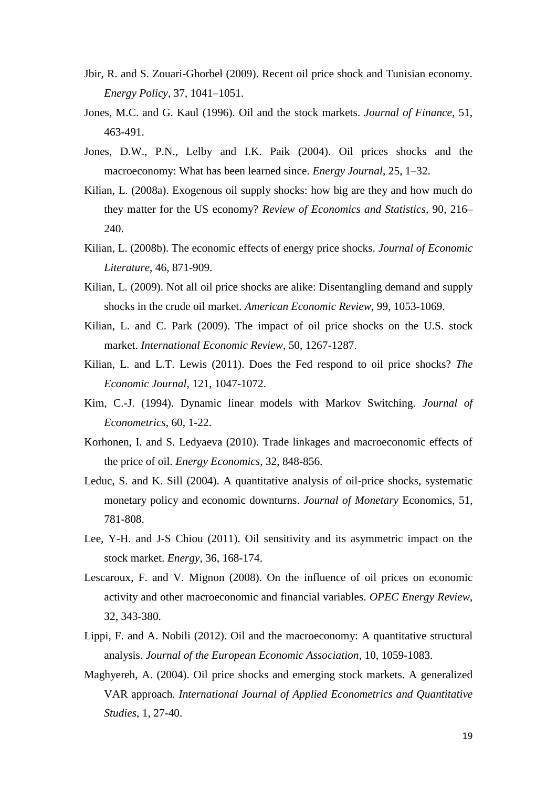- Jbir, R. and S. Zouari-Ghorbel (2009). Recent oil price shock and Tunisian economy. *Energy Policy*, 37, 1041–1051.
- Jones, M.C. and G. Kaul (1996). Oil and the stock markets. *Journal of Finance*, 51, 463-491.
- Jones, D.W., P.N., Lelby and I.K. Paik (2004). Oil prices shocks and the macroeconomy: What has been learned since. *Energy Journal*, 25, 1–32.
- Kilian, L. (2008a). Exogenous oil supply shocks: how big are they and how much do they matter for the US economy? *Review of Economics and Statistics*, 90, 216– 240.
- Kilian, L. (2008b). The economic effects of energy price shocks. *Journal of Economic Literature*, 46, 871-909.
- Kilian, L. (2009). Not all oil price shocks are alike: Disentangling demand and supply shocks in the crude oil market. *American Economic Review*, 99, 1053-1069.
- Kilian, L. and C. Park (2009). The impact of oil price shocks on the U.S. stock market. *International Economic Review*, 50, 1267-1287.
- Kilian, L. and L.T. Lewis (2011). Does the Fed respond to oil price shocks? *The Economic Journal*, 121, 1047-1072.
- Kim, C.-J. (1994). Dynamic linear models with Markov Switching. *Journal of Econometrics*, 60, 1-22.
- Korhonen, I. and S. Ledyaeva (2010). Trade linkages and macroeconomic effects of the price of oil. *Energy Economics*, 32, 848-856.
- Leduc, S. and K. Sill (2004). A quantitative analysis of oil-price shocks, systematic monetary policy and economic downturns. *Journal of Monetary* Economics, 51, 781-808.
- Lee, Y-H. and J-S Chiou (2011). Oil sensitivity and its asymmetric impact on the stock market. *Energy*, 36, 168-174.
- Lescaroux, F. and V. Mignon (2008). On the influence of oil prices on economic activity and other macroeconomic and financial variables. *OPEC Energy Review*, 32, 343-380.
- Lippi, F. and A. Nobili (2012). Oil and the macroeconomy: A quantitative structural analysis. *Journal of the European Economic Association*, 10, 1059-1083.
- Maghyereh, A. (2004). Oil price shocks and emerging stock markets. A generalized VAR approach. *International Journal of Applied Econometrics and Quantitative Studies*, 1, 27-40.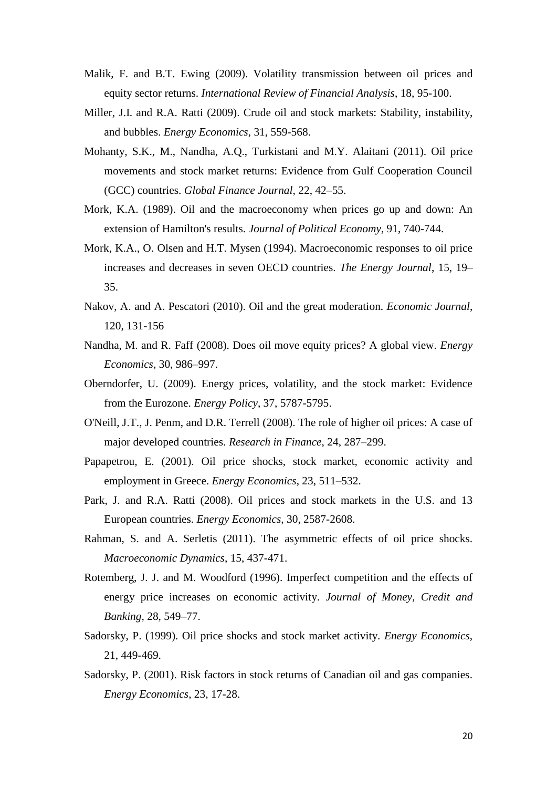- Malik, F. and B.T. Ewing (2009). Volatility transmission between oil prices and equity sector returns. *International Review of Financial Analysis*, 18, 95-100.
- Miller, J.I. and R.A. Ratti (2009). Crude oil and stock markets: Stability, instability, and bubbles. *Energy Economics*, 31, 559-568.
- Mohanty, S.K., M., Nandha, A.Q., Turkistani and M.Y. Alaitani (2011). Oil price movements and stock market returns: Evidence from Gulf Cooperation Council (GCC) countries. *Global Finance Journal*, 22, 42–55.
- Mork, K.A. (1989). Oil and the macroeconomy when prices go up and down: An extension of Hamilton's results. *Journal of Political Economy*, 91, 740-744.
- Mork, K.A., O. Olsen and H.T. Mysen (1994). Macroeconomic responses to oil price increases and decreases in seven OECD countries. *The Energy Journal*, 15, 19– 35.
- Nakov, A. and A. Pescatori (2010). Oil and the great moderation. *Economic Journal*, 120, 131-156
- Nandha, M. and R. Faff (2008). Does oil move equity prices? A global view. *Energy Economics*, 30, 986–997.
- Oberndorfer, U. (2009). Energy prices, volatility, and the stock market: Evidence from the Eurozone. *Energy Policy*, 37, 5787-5795.
- O'Neill, J.T., J. Penm, and D.R. Terrell (2008). The role of higher oil prices: A case of major developed countries. *Research in Finance*, 24, 287–299.
- Papapetrou, E. (2001). Oil price shocks, stock market, economic activity and employment in Greece. *Energy Economics*, 23, 511–532.
- Park, J. and R.A. Ratti (2008). Oil prices and stock markets in the U.S. and 13 European countries. *Energy Economics*, 30, 2587-2608.
- Rahman, S. and A. Serletis (2011). The asymmetric effects of oil price shocks. *Macroeconomic Dynamics*, 15, 437-471.
- Rotemberg, J. J. and M. Woodford (1996). Imperfect competition and the effects of energy price increases on economic activity. *Journal of Money, Credit and Banking*, 28, 549–77.
- Sadorsky, P. (1999). Oil price shocks and stock market activity. *Energy Economics*, 21, 449-469.
- Sadorsky, P. (2001). Risk factors in stock returns of Canadian oil and gas companies. *Energy Economics*, 23, 17-28.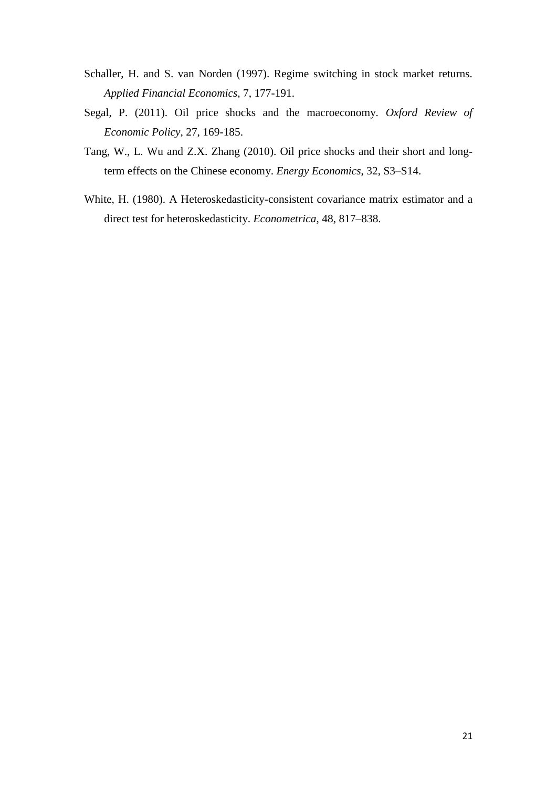- Schaller, H. and S. van Norden (1997). Regime switching in stock market returns. *Applied Financial Economics,* 7, 177-191.
- Segal, P. (2011). Oil price shocks and the macroeconomy. *Oxford Review of Economic Policy*, 27, 169-185.
- Tang, W., L. Wu and Z.X. Zhang (2010). Oil price shocks and their short and longterm effects on the Chinese economy. *Energy Economics*, 32, S3–S14.
- White, H. (1980). A Heteroskedasticity-consistent covariance matrix estimator and a direct test for heteroskedasticity. *Econometrica*, 48, 817–838.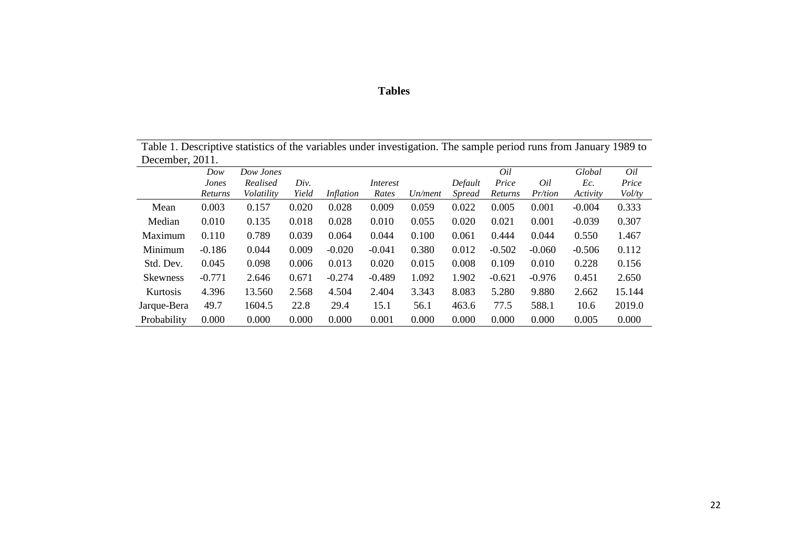# **Tables**

Table 1. Descriptive statistics of the variables under investigation. The sample period runs from January 1989 to December, 2011.

|                 | Dow      | Dow Jones  |       |                  |          |         |               | Oil      |                | Global   | Oil    |
|-----------------|----------|------------|-------|------------------|----------|---------|---------------|----------|----------------|----------|--------|
|                 | Jones    | Realised   | Div.  |                  | Interest |         | Default       | Price    | Oil            | Ec.      | Price  |
|                 | Returns  | Volatility | Yield | <i>Inflation</i> | Rates    | Un/ment | <i>Spread</i> | Returns  | <i>Pr/tion</i> | Activity | Vol/ty |
| Mean            | 0.003    | 0.157      | 0.020 | 0.028            | 0.009    | 0.059   | 0.022         | 0.005    | 0.001          | $-0.004$ | 0.333  |
| Median          | 0.010    | 0.135      | 0.018 | 0.028            | 0.010    | 0.055   | 0.020         | 0.021    | 0.001          | $-0.039$ | 0.307  |
| Maximum         | 0.110    | 0.789      | 0.039 | 0.064            | 0.044    | 0.100   | 0.061         | 0.444    | 0.044          | 0.550    | 1.467  |
| Minimum         | $-0.186$ | 0.044      | 0.009 | $-0.020$         | $-0.041$ | 0.380   | 0.012         | $-0.502$ | $-0.060$       | $-0.506$ | 0.112  |
| Std. Dev.       | 0.045    | 0.098      | 0.006 | 0.013            | 0.020    | 0.015   | 0.008         | 0.109    | 0.010          | 0.228    | 0.156  |
| <b>Skewness</b> | $-0.771$ | 2.646      | 0.671 | $-0.274$         | $-0.489$ | 1.092   | 1.902         | $-0.621$ | $-0.976$       | 0.451    | 2.650  |
| Kurtosis        | 4.396    | 13.560     | 2.568 | 4.504            | 2.404    | 3.343   | 8.083         | 5.280    | 9.880          | 2.662    | 15.144 |
| Jarque-Bera     | 49.7     | 1604.5     | 22.8  | 29.4             | 15.1     | 56.1    | 463.6         | 77.5     | 588.1          | 10.6     | 2019.0 |
| Probability     | 0.000    | 0.000      | 0.000 | 0.000            | 0.001    | 0.000   | 0.000         | 0.000    | 0.000          | 0.005    | 0.000  |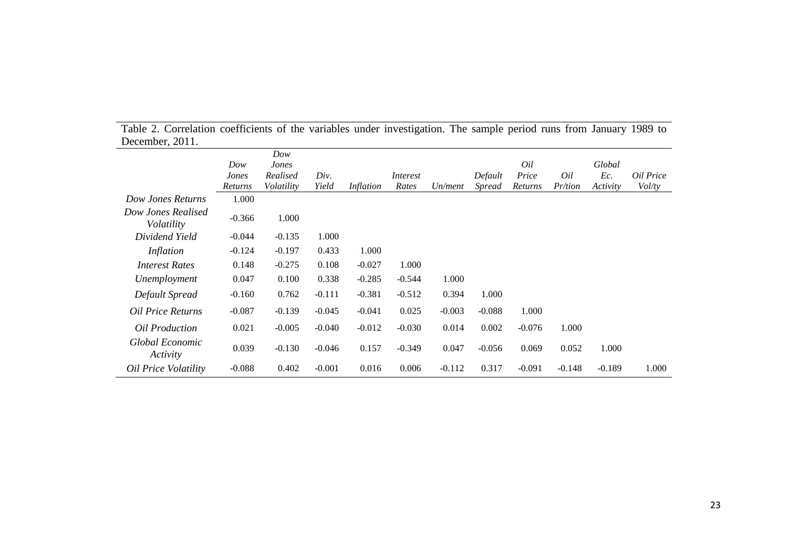|                                  |                  | Dow                    |               |           |                          |          |                          |                  |                       |                 |                            |
|----------------------------------|------------------|------------------------|---------------|-----------|--------------------------|----------|--------------------------|------------------|-----------------------|-----------------|----------------------------|
|                                  | Dow              | Jones                  |               |           |                          |          |                          | Oil              |                       | Global          |                            |
|                                  | Jones<br>Returns | Realised<br>Volatility | Div.<br>Yield | Inflation | <i>Interest</i><br>Rates | Un/ment  | Default<br><i>Spread</i> | Price<br>Returns | Oil<br><i>Pr/tion</i> | Ec.<br>Activity | Oil Price<br><i>Vol/ty</i> |
| Dow Jones Returns                | 1.000            |                        |               |           |                          |          |                          |                  |                       |                 |                            |
| Dow Jones Realised<br>Volatility | $-0.366$         | 1.000                  |               |           |                          |          |                          |                  |                       |                 |                            |
| Dividend Yield                   | $-0.044$         | $-0.135$               | 1.000         |           |                          |          |                          |                  |                       |                 |                            |
| <i>Inflation</i>                 | $-0.124$         | $-0.197$               | 0.433         | 1.000     |                          |          |                          |                  |                       |                 |                            |
| <b>Interest Rates</b>            | 0.148            | $-0.275$               | 0.108         | $-0.027$  | 1.000                    |          |                          |                  |                       |                 |                            |
| Unemployment                     | 0.047            | 0.100                  | 0.338         | $-0.285$  | $-0.544$                 | 1.000    |                          |                  |                       |                 |                            |
| Default Spread                   | $-0.160$         | 0.762                  | $-0.111$      | $-0.381$  | $-0.512$                 | 0.394    | 1.000                    |                  |                       |                 |                            |
| <b>Oil Price Returns</b>         | $-0.087$         | $-0.139$               | $-0.045$      | $-0.041$  | 0.025                    | $-0.003$ | $-0.088$                 | 1.000            |                       |                 |                            |
| Oil Production                   | 0.021            | $-0.005$               | $-0.040$      | $-0.012$  | $-0.030$                 | 0.014    | 0.002                    | $-0.076$         | 1.000                 |                 |                            |
| Global Economic<br>Activity      | 0.039            | $-0.130$               | $-0.046$      | 0.157     | $-0.349$                 | 0.047    | $-0.056$                 | 0.069            | 0.052                 | 1.000           |                            |
| Oil Price Volatility             | $-0.088$         | 0.402                  | $-0.001$      | 0.016     | 0.006                    | $-0.112$ | 0.317                    | $-0.091$         | $-0.148$              | $-0.189$        | 1.000                      |

Table 2. Correlation coefficients of the variables under investigation. The sample period runs from January 1989 to December, 2011.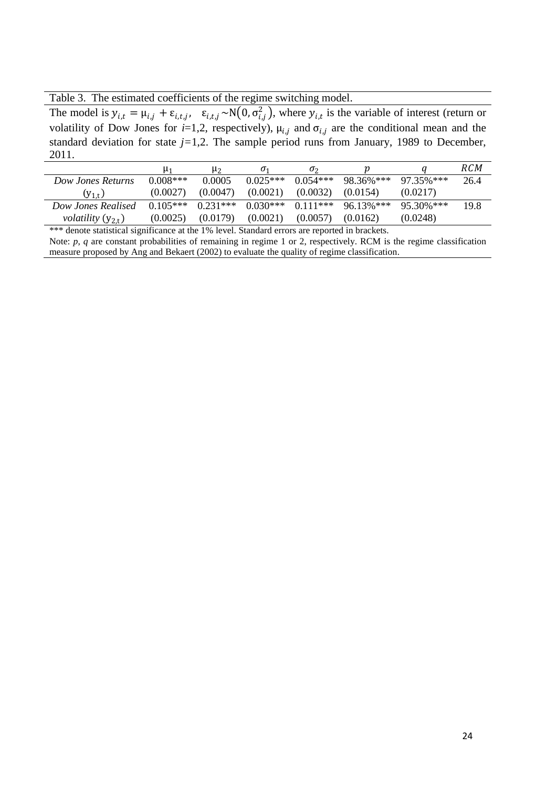Table 3. The estimated coefficients of the regime switching model.

The model is  $y_{i,t} = \mu_{i,j} + \varepsilon_{i,t,j}$ ,  $\varepsilon_{i,t,j} \sim N(0, \sigma_{i,j}^2)$ , where  $y_{i,t}$  is the variable of interest (return or volatility of Dow Jones for  $i=1,2$ , respectively),  $\mu_{i,j}$  and  $\sigma_{i,j}$  are the conditional mean and the standard deviation for state  $j=1,2$ . The sample period runs from January, 1989 to December, 2011.

|                               | μ1         | U2         | 01         | O <sub>2</sub> |           |               | RCM  |
|-------------------------------|------------|------------|------------|----------------|-----------|---------------|------|
| Dow Jones Returns             | $0.008***$ | 0.0005     | $0.025***$ | $0.054***$     | 98.36%*** | $97.35\%$ *** | 26.4 |
| $(y_{1+})$                    | (0.0027)   | (0.0047)   | (0.0021)   | (0.0032)       | (0.0154)  | (0.0217)      |      |
| Dow Jones Realised            | $0.105***$ | $0.231***$ | $0.030***$ | $0.111***$     | 96.13%*** | $95.30\%$ *** | 19.8 |
| <i>volatility</i> $(y_{2,t})$ | (0.0025)   | (0.0179)   | (0.0021)   | (0.0057)       | (0.0162)  | (0.0248)      |      |

\*\*\* denote statistical significance at the 1% level. Standard errors are reported in brackets. Note: *p*, *q* are constant probabilities of remaining in regime 1 or 2, respectively. RCM is the regime classification measure proposed by Ang and Bekaert (2002) to evaluate the quality of regime classification.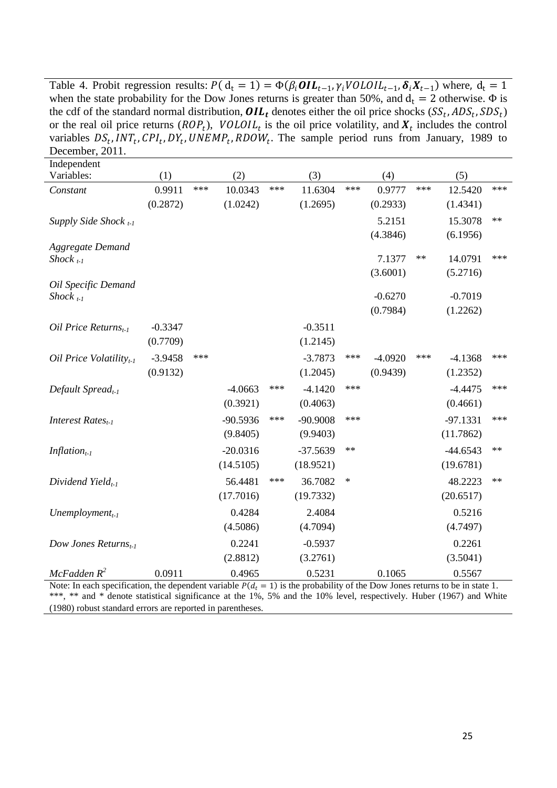Table 4. Probit regression results:  $P(d_t = 1) = \Phi(\beta_i \textbf{OIL}_{t-1}, \gamma_i \textbf{VOLD}IL_{t-1}, \delta_i X_{t-1})$  where,  $d_t = 1$ when the state probability for the Dow Jones returns is greater than 50%, and  $d_t = 2$  otherwise.  $\Phi$  is the cdf of the standard normal distribution,  $OIL_t$  denotes either the oil price shocks  $(SS_t, ADS_t, SDS_t)$ or the real oil price returns ( $ROP_t$ ),  $VOLOIL_t$  is the oil price volatility, and  $X_t$  includes the control variables  $DS_t$ , INT<sub>t</sub>, CPI<sub>t</sub>, DY<sub>t</sub>, UNEMP<sub>t</sub>, RDOW<sub>t</sub>. The sample period runs from January, 1989 to December, 2011.

| Independent                      |           |       |            |     |            |      |           |      |            |      |
|----------------------------------|-----------|-------|------------|-----|------------|------|-----------|------|------------|------|
| Variables:                       | (1)       |       | (2)        |     | (3)        |      | (4)       |      | (5)        |      |
| Constant                         | 0.9911    | $***$ | 10.0343    | *** | 11.6304    | ***  | 0.9777    | ***  | 12.5420    | ***  |
|                                  | (0.2872)  |       | (1.0242)   |     | (1.2695)   |      | (0.2933)  |      | (1.4341)   |      |
| Supply Side Shock $_{t-1}$       |           |       |            |     |            |      | 5.2151    |      | 15.3078    | $**$ |
|                                  |           |       |            |     |            |      | (4.3846)  |      | (6.1956)   |      |
| <b>Aggregate Demand</b>          |           |       |            |     |            |      |           |      |            |      |
| Shock $_{t-1}$                   |           |       |            |     |            |      | 7.1377    | $**$ | 14.0791    | ***  |
| Oil Specific Demand              |           |       |            |     |            |      | (3.6001)  |      | (5.2716)   |      |
| Shock $_{t-1}$                   |           |       |            |     |            |      | $-0.6270$ |      | $-0.7019$  |      |
|                                  |           |       |            |     |            |      | (0.7984)  |      | (1.2262)   |      |
| Oil Price Returns <sub>t-1</sub> | $-0.3347$ |       |            |     | $-0.3511$  |      |           |      |            |      |
|                                  | (0.7709)  |       |            |     | (1.2145)   |      |           |      |            |      |
| Oil Price Volatility $_{t-1}$    | $-3.9458$ | ***   |            |     | $-3.7873$  | ***  | $-4.0920$ | ***  | $-4.1368$  | ***  |
|                                  | (0.9132)  |       |            |     | (1.2045)   |      | (0.9439)  |      | (1.2352)   |      |
|                                  |           |       |            | *** |            | ***  |           |      |            | ***  |
| Default Spread <sub>t-1</sub>    |           |       | $-4.0663$  |     | $-4.1420$  |      |           |      | $-4.4475$  |      |
|                                  |           |       | (0.3921)   |     | (0.4063)   |      |           |      | (0.4661)   |      |
| Interest Rates <sub>t-1</sub>    |           |       | $-90.5936$ | *** | -90.9008   | ***  |           |      | $-97.1331$ | ***  |
|                                  |           |       | (9.8405)   |     | (9.9403)   |      |           |      | (11.7862)  |      |
| Inflation <sub>t-1</sub>         |           |       | $-20.0316$ |     | $-37.5639$ | $**$ |           |      | $-44.6543$ | $**$ |
|                                  |           |       | (14.5105)  |     | (18.9521)  |      |           |      | (19.6781)  |      |
| Dividend Yield $_{t-1}$          |           |       | 56.4481    | *** | 36.7082    | ∗    |           |      | 48.2223    | $**$ |
|                                  |           |       | (17.7016)  |     | (19.7332)  |      |           |      | (20.6517)  |      |
| Unemployment <sub>t-1</sub>      |           |       | 0.4284     |     | 2.4084     |      |           |      | 0.5216     |      |
|                                  |           |       | (4.5086)   |     | (4.7094)   |      |           |      | (4.7497)   |      |
| Dow Jones Returns $_{t-1}$       |           |       | 0.2241     |     | $-0.5937$  |      |           |      | 0.2261     |      |
|                                  |           |       | (2.8812)   |     | (3.2761)   |      |           |      | (3.5041)   |      |
| McFadden R <sup>2</sup>          | 0.0911    |       | 0.4965     |     | 0.5231     |      | 0.1065    |      | 0.5567     |      |

Note: In each specification, the dependent variable  $P(d_t = 1)$  is the probability of the Dow Jones returns to be in state 1. \*\*\*, \*\* and \* denote statistical significance at the 1%, 5% and the 10% level, respectively. Huber (1967) and White (1980) robust standard errors are reported in parentheses.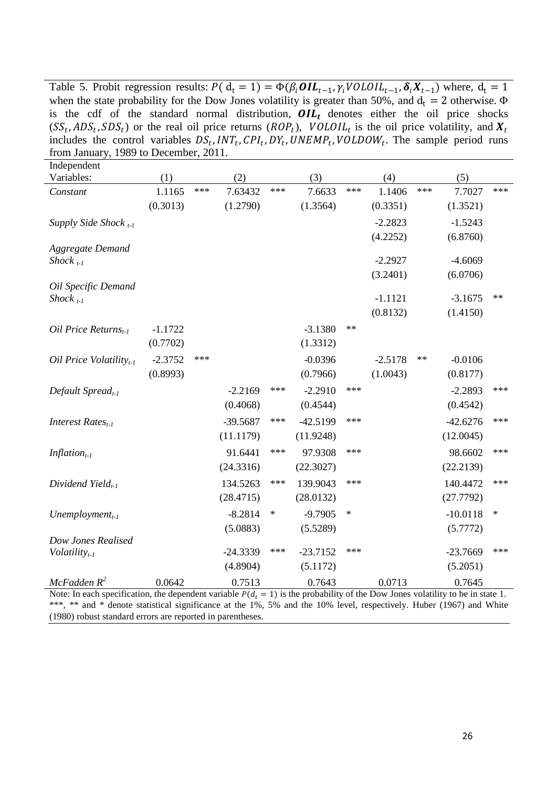Table 5. Probit regression results:  $P(d_t = 1) = \Phi(\beta_i \textbf{OIL}_{t-1}, \gamma_i \textbf{VOLD} IL_{t-1}, \delta_i X_{t-1})$  where,  $d_t = 1$ when the state probability for the Dow Jones volatility is greater than 50%, and  $d_t = 2$  otherwise.  $\Phi$ is the cdf of the standard normal distribution,  $OIL_t$  denotes either the oil price shocks  $(SS_t, ADS_t, SDS_t)$  or the real oil price returns  $(ROP_t)$ ,  $VOLOIL_t$  is the oil price volatility, and  $X_t$ includes the control variables  $DS_t, INT_t, CPI_t, DY_t, UNEMP_t, VOLDOW_t$ . The sample period runs from January, 1989 to December, 2011.

| Independent                   |           |     |            |       |            |       |           |      |            |       |
|-------------------------------|-----------|-----|------------|-------|------------|-------|-----------|------|------------|-------|
| Variables:                    | (1)       |     | (2)        |       | (3)        |       | (4)       |      | (5)        |       |
| Constant                      | 1.1165    | *** | 7.63432    | ***   | 7.6633     | $***$ | 1.1406    | ***  | 7.7027     | $***$ |
|                               | (0.3013)  |     | (1.2790)   |       | (1.3564)   |       | (0.3351)  |      | (1.3521)   |       |
| Supply Side Shock $_{t-1}$    |           |     |            |       |            |       | $-2.2823$ |      | $-1.5243$  |       |
|                               |           |     |            |       |            |       | (4.2252)  |      | (6.8760)   |       |
| <b>Aggregate Demand</b>       |           |     |            |       |            |       |           |      |            |       |
| Shock $_{t-1}$                |           |     |            |       |            |       | $-2.2927$ |      | $-4.6069$  |       |
| Oil Specific Demand           |           |     |            |       |            |       | (3.2401)  |      | (6.0706)   |       |
| $Shock_{t-1}$                 |           |     |            |       |            |       | $-1.1121$ |      | $-3.1675$  | $**$  |
|                               |           |     |            |       |            |       | (0.8132)  |      | (1.4150)   |       |
| Oil Price Returns $_{t-1}$    | $-1.1722$ |     |            |       | $-3.1380$  | $**$  |           |      |            |       |
|                               | (0.7702)  |     |            |       | (1.3312)   |       |           |      |            |       |
| Oil Price Volatility $_{t-1}$ | $-2.3752$ | *** |            |       | $-0.0396$  |       | $-2.5178$ | $**$ | $-0.0106$  |       |
|                               | (0.8993)  |     |            |       | (0.7966)   |       | (1.0043)  |      | (0.8177)   |       |
| Default Spread <sub>t-1</sub> |           |     | $-2.2169$  | ***   | $-2.2910$  | ***   |           |      | $-2.2893$  | ***   |
|                               |           |     | (0.4068)   |       | (0.4544)   |       |           |      | (0.4542)   |       |
| Interest Rates $_{t-1}$       |           |     | $-39.5687$ | $***$ | $-42.5199$ | $***$ |           |      | $-42.6276$ | ***   |
|                               |           |     | (11.1179)  |       | (11.9248)  |       |           |      | (12.0045)  |       |
| Inflation <sub>t-1</sub>      |           |     | 91.6441    | ***   | 97.9308    | ***   |           |      | 98.6602    | ***   |
|                               |           |     | (24.3316)  |       | (22.3027)  |       |           |      | (22.2139)  |       |
| Dividend Yield $_{t-1}$       |           |     | 134.5263   | $***$ | 139.9043   | ***   |           |      | 140.4472   | ***   |
|                               |           |     | (28.4715)  |       | (28.0132)  |       |           |      | (27.7792)  |       |
| Unemployment $_{t-1}$         |           |     | $-8.2814$  | ∗     | $-9.7905$  | ∗     |           |      | $-10.0118$ | ∗     |
|                               |           |     | (5.0883)   |       | (5.5289)   |       |           |      | (5.7772)   |       |
| Dow Jones Realised            |           |     |            |       |            |       |           |      |            |       |
| $Volatility_{t-1}$            |           |     | $-24.3339$ | ***   | $-23.7152$ | ***   |           |      | $-23.7669$ | ***   |
|                               |           |     | (4.8904)   |       | (5.1172)   |       |           |      | (5.2051)   |       |
| McFadden R <sup>2</sup>       | 0.0642    |     | 0.7513     |       | 0.7643     |       | 0.0713    |      | 0.7645     |       |

Note: In each specification, the dependent variable  $P(d_t = 1)$  is the probability of the Dow Jones volatility to be in state 1. \*\*\*, \*\* and \* denote statistical significance at the 1%, 5% and the 10% level, respectively. Huber (1967) and White (1980) robust standard errors are reported in parentheses.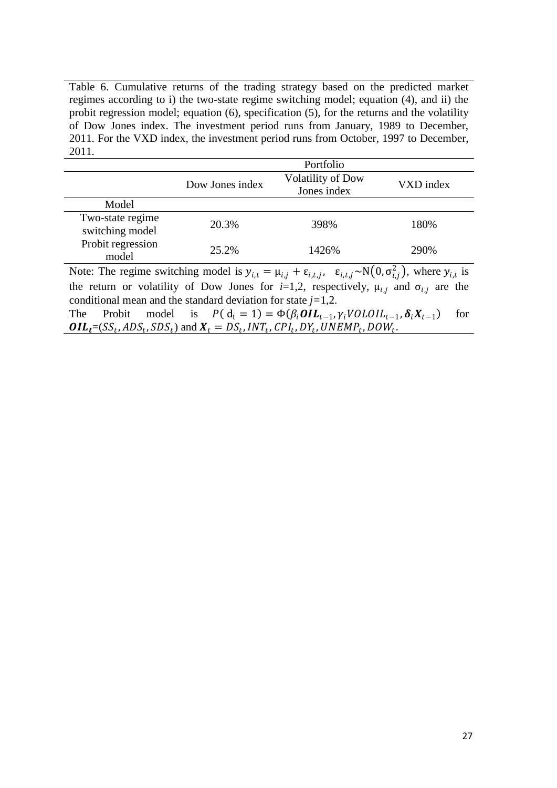Table 6. Cumulative returns of the trading strategy based on the predicted market regimes according to i) the two-state regime switching model; equation (4), and ii) the probit regression model; equation (6), specification (5), for the returns and the volatility of Dow Jones index. The investment period runs from January, 1989 to December, 2011. For the VXD index, the investment period runs from October, 1997 to December, 2011.

|                                                                                                                                                        |                 | Portfolio                               |           |  |  |  |  |  |
|--------------------------------------------------------------------------------------------------------------------------------------------------------|-----------------|-----------------------------------------|-----------|--|--|--|--|--|
|                                                                                                                                                        | Dow Jones index | <b>Volatility of Dow</b><br>Jones index | VXD index |  |  |  |  |  |
| Model                                                                                                                                                  |                 |                                         |           |  |  |  |  |  |
| Two-state regime<br>switching model                                                                                                                    | 20.3%           | 398%                                    | 180%      |  |  |  |  |  |
| Probit regression<br>model                                                                                                                             | 25.2%           | 1426%                                   | 290%      |  |  |  |  |  |
| Note: The regime switching model is $y_{i,t} = \mu_{i,j} + \varepsilon_{i,t,j}$ , $\varepsilon_{i,t,j} \sim N(0, \sigma_{i,j}^2)$ , where $y_{i,t}$ is |                 |                                         |           |  |  |  |  |  |

the return or volatility of Dow Jones for  $i=1,2$ , respectively,  $\mu_{i,j}$  and  $\sigma_{i,j}$  are the conditional mean and the standard deviation for state *j=*1,2.

The Probit model is  $P(d_t = 1) = \Phi(\beta_i \textbf{OIL}_{t-1}, \gamma_i \textbf{VOLOIL}_{t-1}, \delta_i X_{t-1})$  for  $\textbf{OIL}_t = (SS_t, ADS_t, SDS_t)$  and  $\textbf{X}_t = DS_t, INT_t, CPI_t, DY_t, UNEMP_t, DOM_t$ .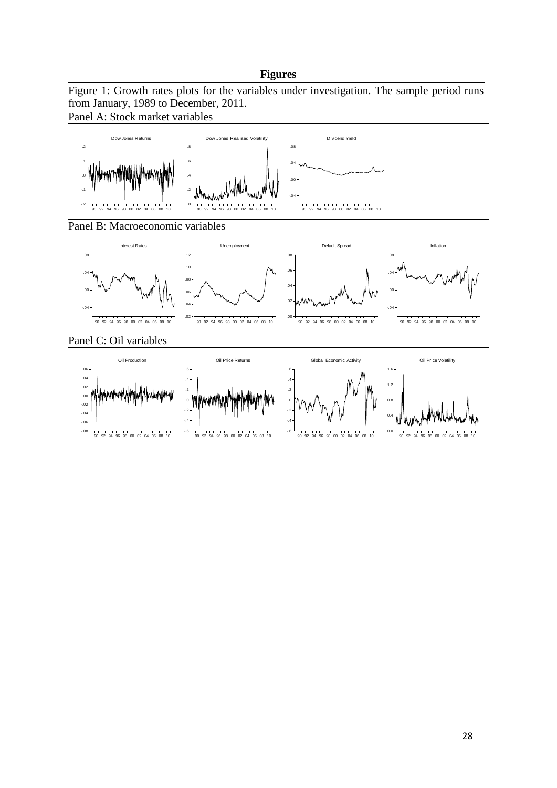## **Figures**

Figure 1: Growth rates plots for the variables under investigation. The sample period runs from January, 1989 to December, 2011.

Panel A: Stock market variables

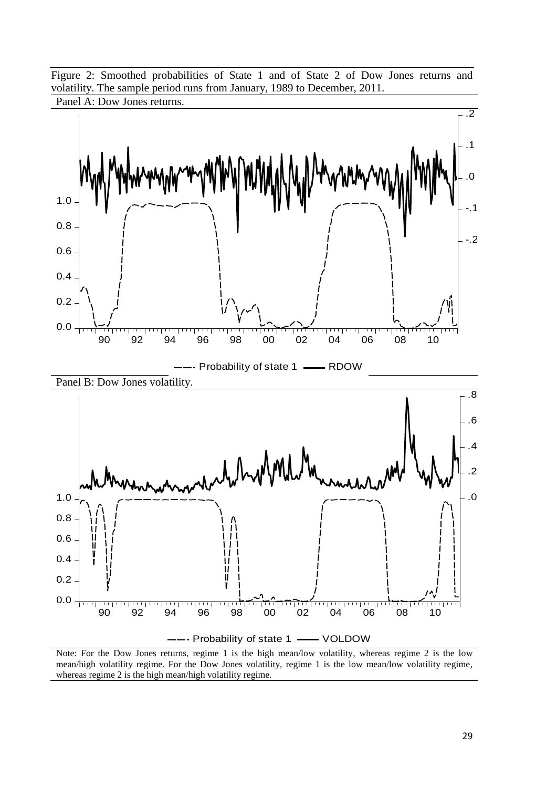Figure 2: Smoothed probabilities of State 1 and of State 2 of Dow Jones returns and volatility. The sample period runs from January, 1989 to December, 2011.



Note: For the Dow Jones returns, regime 1 is the high mean/low volatility, whereas regime 2 is the low mean/high volatility regime. For the Dow Jones volatility, regime 1 is the low mean/low volatility regime, whereas regime 2 is the high mean/high volatility regime.